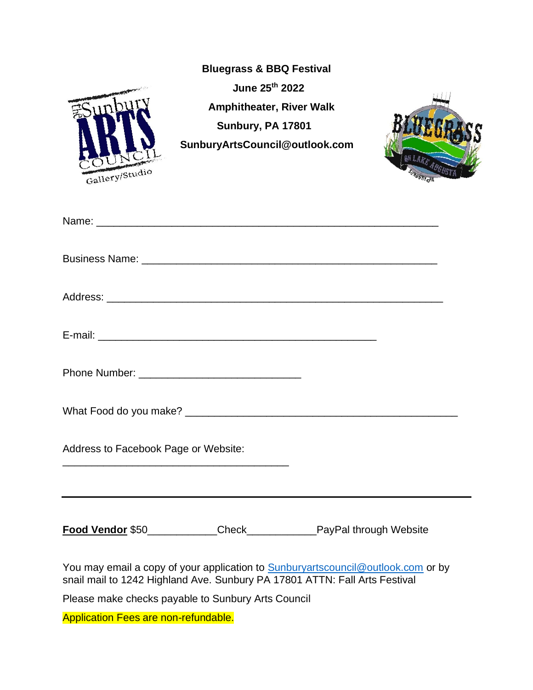|                                                                                                                                                                       | <b>Bluegrass &amp; BBQ Festival</b><br>June 25th 2022<br><b>Amphitheater, River Walk</b><br>Sunbury, PA 17801<br>SunburyArtsCouncil@outlook.com |  |
|-----------------------------------------------------------------------------------------------------------------------------------------------------------------------|-------------------------------------------------------------------------------------------------------------------------------------------------|--|
| Gallery/Studio                                                                                                                                                        |                                                                                                                                                 |  |
|                                                                                                                                                                       |                                                                                                                                                 |  |
|                                                                                                                                                                       |                                                                                                                                                 |  |
|                                                                                                                                                                       |                                                                                                                                                 |  |
|                                                                                                                                                                       |                                                                                                                                                 |  |
|                                                                                                                                                                       |                                                                                                                                                 |  |
| Address to Facebook Page or Website:                                                                                                                                  |                                                                                                                                                 |  |
|                                                                                                                                                                       |                                                                                                                                                 |  |
| You may email a copy of your application to <b>Sunburyartscouncil@outlook.com</b> or by<br>snail mail to 1242 Highland Ave. Sunbury PA 17801 ATTN: Fall Arts Festival |                                                                                                                                                 |  |
| Please make checks payable to Sunbury Arts Council                                                                                                                    |                                                                                                                                                 |  |
| <b>Application Fees are non-refundable.</b>                                                                                                                           |                                                                                                                                                 |  |